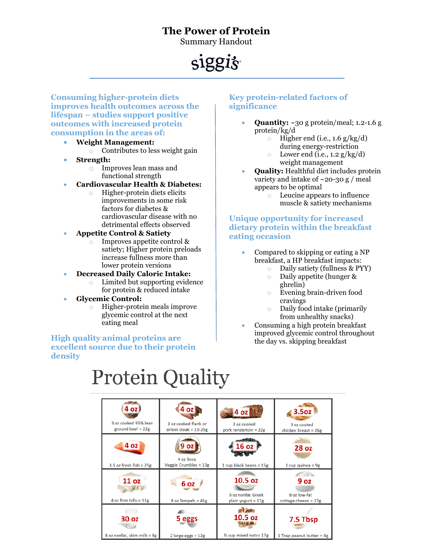### **The Power of Protein**

Summary Handout

## siggis-

**Consuming higher-protein diets improves health outcomes across the lifespan – studies support positive outcomes with increased protein consumption in the areas of:**

- **Weight Management:**  $\circ$  Contributes to less weight gain
- **Strength:**
	- o Improves lean mass and functional strength
- **Cardiovascular Health & Diabetes:**
	- o Higher-protein diets elicits improvements in some risk factors for diabetes & cardiovascular disease with no detrimental effects observed
- **Appetite Control & Satiety**
	- o Improves appetite control & satiety; Higher protein preloads increase fullness more than lower protein versions
- **Decreased Daily Caloric Intake:**
	- o Limited but supporting evidence for protein & reduced intake
- **Glycemic Control:**
	- o Higher-protein meals improve glycemic control at the next eating meal

#### **High quality animal proteins are excellent source due to their protein density**

#### **Key protein-related factors of significance**

- **Quantity:** ~30 g protein/meal; 1.2-1.6 g protein/kg/d
	- $\circ$  Higher end (i.e., 1.6 g/kg/d) during energy-restriction
	- Lower end (i.e.,  $1.2 \frac{g}{kg/d}$ ) weight management
- **Quality:** Healthful diet includes protein variety and intake of  $\sim$  20-30 g / meal appears to be optimal
	- o Leucine appears to influence
	- muscle & satiety mechanisms

**Unique opportunity for increased dietary protein within the breakfast eating occasion**

- Compared to skipping or eating a NP breakfast, a HP breakfast impacts:
	-
	- Daily satiety (fullness & PYY)<br>• Daily appetite (hunger & Daily appetite (hunger & ghrelin)
	- o Evening brain-driven food cravings
	- o Daily food intake (primarily from unhealthy snacks)
- Consuming a high protein breakfast improved glycemic control throughout the day vs. skipping breakfast

# **Protein Quality**

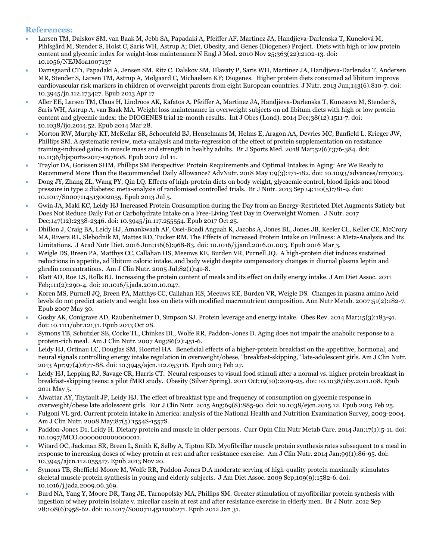#### **References:**

- Larsen TM, Dalskov SM, van Baak M, Jebb SA, Papadaki A, Pfeiffer AF, Martinez JA, Handjieva-Darlenska T, Kunešová M, Pihlsgård M, Stender S, Holst C, Saris WH, Astrup A; Diet, Obesity, and Genes (Diogenes) Project. Diets with high or low protein content and glycemic index for weight-loss maintenance N Engl J Med. 2010 Nov 25;363(22):2102-13. doi: 10.1056/NEJMoa1007137
- Damsgaard CT1, Papadaki A, Jensen SM, Ritz C, Dalskov SM, Hlavaty P, Saris WH, Martinez JA, Handjieva-Darlenska T, Andersen MR, Stender S, Larsen TM, Astrup A, Mølgaard C, Michaelsen KF; Diogenes. Higher protein diets consumed ad libitum improve cardiovascular risk markers in children of overweight parents from eight European countries. J Nutr. 2013 Jun;143(6):810-7. doi: 10.3945/jn.112.173427. Epub 2013 Apr 17
- Aller EE, Larsen TM, Claus H, Lindroos AK, Kafatos A, Pfeiffer A, Martinez JA, Handjieva-Darlenska T, Kunesova M, Stender S, Saris WH, Astrup A, van Baak MA. Weight loss maintenance in overweight subjects on ad libitum diets with high or low protein content and glycemic index: the DIOGENES trial 12-month results. Int J Obes (Lond). 2014 Dec;38(12):1511-7. doi: 10.1038/ijo.2014.52. Epub 2014 Mar 28.
- Morton RW, Murphy KT, McKellar SR, Schoenfeld BJ, Henselmans M, Helms E, Aragon AA, Devries MC, Banfield L, Krieger JW, Phillips SM. A systematic review, meta-analysis and meta-regression of the effect of protein supplementation on resistance training-induced gains in muscle mass and strength in healthy adults. Br J Sports Med. 2018 Mar;52(6):376-384. doi: 10.1136/bjsports-2017-097608. Epub 2017 Jul 11.
- Traylor DA, Gorissen SHM, Phillips SM Perspective: Protein Requirements and Optimal Intakes in Aging: Are We Ready to Recommend More Than the Recommended Daily Allowance? AdvNutr. 2018 May 1;9(3):171-182. doi: 10.1093/advances/nmy003.
- Dong JY, Zhang ZL, Wang PY, Qin LQ. Effects of high-protein diets on body weight, glycaemic control, blood lipids and blood pressure in type 2 diabetes: meta-analysis of randomised controlled trials. Br J Nutr. 2013 Sep 14;110(5):781-9. doi: 10.1017/S0007114513002055. Epub 2013 Jul 5.
- Gwin JA, Maki KC, Leidy HJ Increased Protein Consumption during the Day from an Energy-Restricted Diet Augments Satiety but Does Not Reduce Daily Fat or Carbohydrate Intake on a Free-Living Test Day in Overweight Women. J Nutr. 2017 Dec;147(12):2338-2346. doi: 10.3945/jn.117.255554. Epub 2017 Oct 25.
- Dhillon J, Craig BA, Leidy HJ, Amankwaah AF, Osei-Boadi Anguah K, Jacobs A, Jones BL, Jones JB, Keeler CL, Keller CE, McCrory MA, Rivera RL, Slebodnik M, Mattes RD, Tucker RM. The Effects of Increased Protein Intake on Fullness: A Meta-Analysis and Its Limitations. J Acad Nutr Diet. 2016 Jun;116(6):968-83. doi: 10.1016/j.jand.2016.01.003. Epub 2016 Mar 3.
- Weigle DS, Breen PA, Matthys CC, Callahan HS, Meeuws KE, Burden VR, Purnell JQ. A high-protein diet induces sustained reductions in appetite, ad libitum caloric intake, and body weight despite compensatory changes in diurnal plasma leptin and ghrelin concentrations. Am J Clin Nutr. 2005 Jul;82(1):41-8.
- Blatt AD, Roe LS, Rolls BJ. Increasing the protein content of meals and its effect on daily energy intake. J Am Diet Assoc. 2011 Feb;111(2):290-4. doi: 10.1016/j.jada.2010.10.047.
- Koren MS, Purnell JQ, Breen PA, Matthys CC, Callahan HS, Meeuws KE, Burden VR, Weigle DS. Changes in plasma amino Acid levels do not predict satiety and weight loss on diets with modified macronutrient composition. Ann Nutr Metab. 2007;51(2):182-7. Epub 2007 May 30.
- Gosby AK, Conigrave AD, Raubenheimer D, Simpson SJ. Protein leverage and energy intake. Obes Rev. 2014 Mar;15(3):183-91. doi: 10.1111/obr.12131. Epub 2013 Oct 28.
- Symons TB, Schutzler SE, Cocke TL, Chinkes DL, Wolfe RR, Paddon-Jones D. Aging does not impair the anabolic response to a protein-rich meal. Am J Clin Nutr. 2007 Aug;86(2):451-6.
- Leidy HJ, Ortinau LC, Douglas SM, Hoertel HA. Beneficial effects of a higher-protein breakfast on the appetitive, hormonal, and neural signals controlling energy intake regulation in overweight/obese, "breakfast-skipping," late-adolescent girls. Am J Clin Nutr. 2013 Apr;97(4):677-88. doi: 10.3945/ajcn.112.053116. Epub 2013 Feb 27.
- Leidy HJ, Lepping RJ, Savage CR, Harris CT. Neural responses to visual food stimuli after a normal vs. higher protein breakfast in breakfast-skipping teens: a pilot fMRI study. Obesity (Silver Spring). 2011 Oct;19(10):2019-25. doi: 10.1038/oby.2011.108. Epub 2011 May 5.
- Alwattar AY, Thyfault JP, Leidy HJ. The effect of breakfast type and frequency of consumption on glycemic response in overweight/obese late adolescent girls. Eur J Clin Nutr. 2015 Aug;69(8):885-90. doi: 10.1038/ejcn.2015.12. Epub 2015 Feb 25.
- Fulgoni VL 3rd. Current protein intake in America: analysis of the National Health and Nutrition Examination Survey, 2003-2004. Am J Clin Nutr. 2008 May;87(5):1554S-1557S.
- Paddon-Jones D1, Leidy H. Dietary protein and muscle in older persons. Curr Opin Clin Nutr Metab Care. 2014 Jan;17(1):5-11. doi: 10.1097/MCO.0000000000000011.
- Witard OC, Jackman SR, Breen L, Smith K, Selby A, Tipton KD. Myofibrillar muscle protein synthesis rates subsequent to a meal in response to increasing doses of whey protein at rest and after resistance exercise. Am J Clin Nutr. 2014 Jan;99(1):86-95. doi: 10.3945/ajcn.112.055517. Epub 2013 Nov 20.
- Symons TB, Sheffield-Moore M, Wolfe RR, Paddon-Jones D.A moderate serving of high-quality protein maximally stimulates skeletal muscle protein synthesis in young and elderly subjects. J Am Diet Assoc. 2009 Sep;109(9):1582-6. doi: 10.1016/j.jada.2009.06.369.
- Burd NA, Yang Y, Moore DR, Tang JE, Tarnopolsky MA, Phillips SM. Greater stimulation of myofibrillar protein synthesis with ingestion of whey protein isolate v. micellar casein at rest and after resistance exercise in elderly men. Br J Nutr. 2012 Sep 28;108(6):958-62. doi: 10.1017/S0007114511006271. Epub 2012 Jan 31.